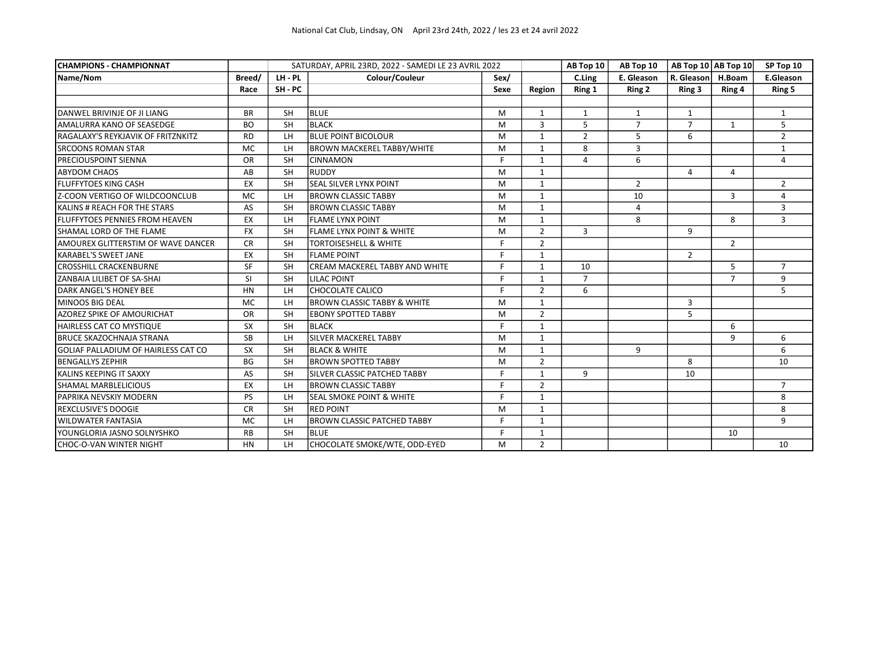| <b>CHAMPIONS - CHAMPIONNAT</b>        |           |           | SATURDAY, APRIL 23RD, 2022 - SAMEDI LE 23 AVRIL 2022 |      |                | AB Top 10      | AB Top 10      | AB Top $10$ AB Top $10$ |                | SP Top 10        |
|---------------------------------------|-----------|-----------|------------------------------------------------------|------|----------------|----------------|----------------|-------------------------|----------------|------------------|
| Name/Nom                              | Breed/    | LH-PL     | Colour/Couleur                                       | Sex/ |                | C.Ling         | E. Gleason     | R. Gleason              | H.Boam         | <b>E.Gleason</b> |
|                                       | Race      | SH-PC     |                                                      | Sexe | Region         | Ring 1         | Ring 2         | Ring 3                  | Ring 4         | Ring 5           |
|                                       |           |           |                                                      |      |                |                |                |                         |                |                  |
| DANWEL BRIVINJE OF JI LIANG           | <b>BR</b> | <b>SH</b> | <b>BLUE</b>                                          | M    | $\mathbf{1}$   | 1              | 1              | $\mathbf{1}$            |                | 1                |
| AMALURRA KANO OF SEASEDGE             | <b>BO</b> | <b>SH</b> | <b>BLACK</b>                                         | M    | 3              | 5              | $\overline{7}$ | $\overline{7}$          | $\mathbf{1}$   | 5                |
| RAGALAXY'S REYKJAVIK OF FRITZNKITZ    | <b>RD</b> | LH        | <b>BLUE POINT BICOLOUR</b>                           | M    | $\mathbf{1}$   | $\overline{2}$ | 5              | 6                       |                | $\overline{2}$   |
| <b>SRCOONS ROMAN STAR</b>             | <b>MC</b> | LH        | <b>BROWN MACKEREL TABBY/WHITE</b>                    | M    | $\mathbf{1}$   | 8              | 3              |                         |                | $\mathbf{1}$     |
| PRECIOUSPOINT SIENNA                  | <b>OR</b> | <b>SH</b> | <b>CINNAMON</b>                                      | F    | $\mathbf{1}$   | 4              | 6              |                         |                | 4                |
| <b>ABYDOM CHAOS</b>                   | AB        | <b>SH</b> | RUDDY                                                | M    | $\mathbf{1}$   |                |                | 4                       | 4              |                  |
| <b>FLUFFYTOES KING CASH</b>           | EX        | <b>SH</b> | <b>SEAL SILVER LYNX POINT</b>                        | M    | $\mathbf{1}$   |                | $\overline{2}$ |                         |                | $\overline{2}$   |
| Z-COON VERTIGO OF WILDCOONCLUB        | <b>MC</b> | LH        | <b>BROWN CLASSIC TABBY</b>                           | M    | $\mathbf{1}$   |                | 10             |                         | 3              | 4                |
| KALINS # REACH FOR THE STARS          | AS        | <b>SH</b> | <b>BROWN CLASSIC TABBY</b>                           | M    | $\mathbf{1}$   |                | 4              |                         |                | 3                |
| <b>FLUFFYTOES PENNIES FROM HEAVEN</b> | EX        | LH        | <b>FLAME LYNX POINT</b>                              | M    | $\mathbf{1}$   |                | 8              |                         | 8              | 3                |
| SHAMAL LORD OF THE FLAME              | <b>FX</b> | <b>SH</b> | <b>FLAME LYNX POINT &amp; WHITE</b>                  | M    | $\overline{2}$ | $\overline{3}$ |                | 9                       |                |                  |
| AMOUREX GLITTERSTIM OF WAVE DANCER    | <b>CR</b> | <b>SH</b> | <b>TORTOISESHELL &amp; WHITE</b>                     | F    | $\overline{2}$ |                |                |                         | $\overline{2}$ |                  |
| <b>KARABEL'S SWEET JANE</b>           | EX        | <b>SH</b> | <b>FLAME POINT</b>                                   | F    | $\mathbf{1}$   |                |                | $\overline{2}$          |                |                  |
| <b>CROSSHILL CRACKENBURNE</b>         | SF        | <b>SH</b> | <b>CREAM MACKEREL TABBY AND WHITE</b>                | F.   | $\mathbf{1}$   | 10             |                |                         | 5              | $\overline{7}$   |
| ZANBAIA LILIBET OF SA-SHAI            | <b>SI</b> | <b>SH</b> | <b>LILAC POINT</b>                                   | F    | $\mathbf{1}$   | $\overline{7}$ |                |                         | $\overline{7}$ | 9                |
| DARK ANGEL'S HONEY BEE                | <b>HN</b> | LH        | CHOCOLATE CALICO                                     | E    | $\overline{2}$ | 6              |                |                         |                | 5                |
| <b>MINOOS BIG DEAL</b>                | <b>MC</b> | LH        | <b>BROWN CLASSIC TABBY &amp; WHITE</b>               | M    | $\mathbf{1}$   |                |                | 3                       |                |                  |
| AZOREZ SPIKE OF AMOURICHAT            | <b>OR</b> | <b>SH</b> | <b>EBONY SPOTTED TABBY</b>                           | M    | $\overline{2}$ |                |                | 5                       |                |                  |
| <b>HAIRLESS CAT CO MYSTIQUE</b>       | <b>SX</b> | <b>SH</b> | <b>BLACK</b>                                         | F    | $\mathbf{1}$   |                |                |                         | 6              |                  |
| <b>BRUCE SKAZOCHNAJA STRANA</b>       | <b>SB</b> | LH        | SILVER MACKEREL TABBY                                | M    | $\mathbf{1}$   |                |                |                         | 9              | 6                |
| GOLIAF PALLADIUM OF HAIRLESS CAT CO   | <b>SX</b> | <b>SH</b> | <b>BLACK &amp; WHITE</b>                             | M    | $\mathbf{1}$   |                | 9              |                         |                | 6                |
| <b>BENGALLYS ZEPHIR</b>               | <b>BG</b> | <b>SH</b> | <b>BROWN SPOTTED TABBY</b>                           | M    | $\overline{2}$ |                |                | 8                       |                | 10               |
| KALINS KEEPING IT SAXXY               | AS        | <b>SH</b> | SILVER CLASSIC PATCHED TABBY                         | F    | $\mathbf{1}$   | 9              |                | 10                      |                |                  |
| <b>SHAMAL MARBLELICIOUS</b>           | EX        | LH        | <b>BROWN CLASSIC TABBY</b>                           | F.   | $\overline{2}$ |                |                |                         |                | $\overline{7}$   |
| PAPRIKA NEVSKIY MODERN                | <b>PS</b> | LH        | <b>SEAL SMOKE POINT &amp; WHITE</b>                  | F.   | $\mathbf{1}$   |                |                |                         |                | 8                |
| <b>REXCLUSIVE'S DOOGIE</b>            | <b>CR</b> | <b>SH</b> | <b>RED POINT</b>                                     | M    | $\mathbf{1}$   |                |                |                         |                | 8                |
| <b>WILDWATER FANTASIA</b>             | MC        | LH        | <b>BROWN CLASSIC PATCHED TABBY</b>                   | F    | 1              |                |                |                         |                | 9                |
| YOUNGLORIA JASNO SOLNYSHKO            | <b>RB</b> | <b>SH</b> | <b>BLUE</b>                                          | F    | $\mathbf{1}$   |                |                |                         | 10             |                  |
| CHOC-O-VAN WINTER NIGHT               | <b>HN</b> | LH        | CHOCOLATE SMOKE/WTE, ODD-EYED                        | м    | $\overline{2}$ |                |                |                         |                | 10               |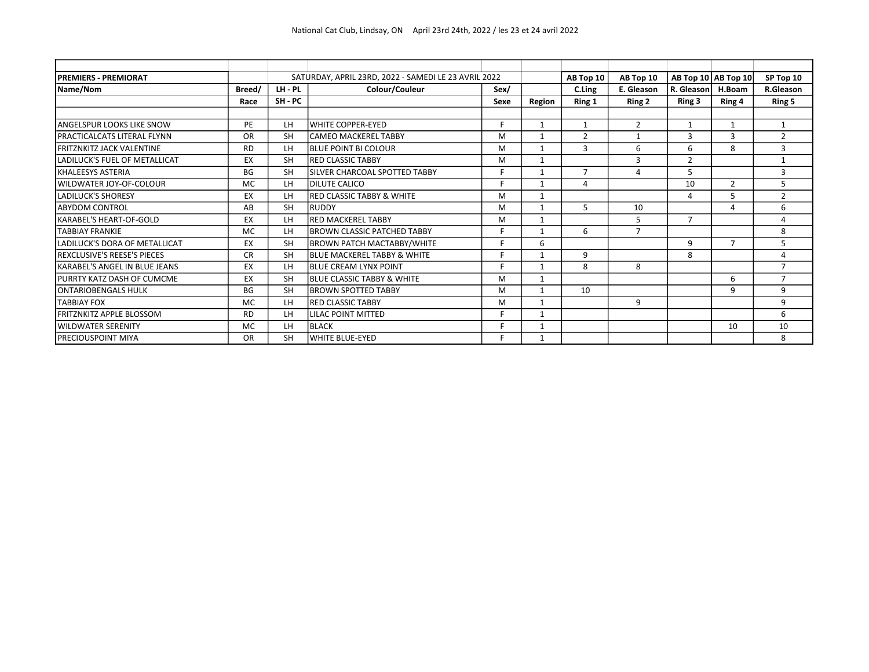| <b>PREMIERS - PREMIORAT</b>        |           |           | SATURDAY, APRIL 23RD, 2022 - SAMEDI LE 23 AVRIL 2022 |      |              | AB Top 10      | AB Top 10      |                | AB Top 10 AB Top 10      | SP Top 10      |
|------------------------------------|-----------|-----------|------------------------------------------------------|------|--------------|----------------|----------------|----------------|--------------------------|----------------|
| Name/Nom                           | Breed/    | LH - PL   | Colour/Couleur                                       | Sex/ |              | C.Ling         | E. Gleason     | R. Gleason     | H.Boam                   | R.Gleason      |
|                                    | Race      | SH - PC   |                                                      | Sexe | Region       | Ring 1         | Ring 2         | Ring 3         | Ring 4                   | Ring 5         |
|                                    |           |           |                                                      |      |              |                |                |                |                          |                |
| <b>ANGELSPUR LOOKS LIKE SNOW</b>   | <b>PE</b> | LH        | lwhite copper-eyed                                   | F    | 1            | $\mathbf{1}$   | $\overline{2}$ | $\mathbf{1}$   | $\mathbf{1}$             | $\mathbf{1}$   |
| <b>PRACTICALCATS LITERAL FLYNN</b> | <b>OR</b> | <b>SH</b> | lcameo Mackerel Tabby                                | M    | 1            | $\overline{2}$ | $\mathbf{1}$   | 3              | 3                        | $\overline{2}$ |
| <b>FRITZNKITZ JACK VALENTINE</b>   | <b>RD</b> | LH        | <b>BLUE POINT BI COLOUR</b>                          | м    | 1            | 3              | 6              | 6              | 8                        | 3              |
| LADILUCK'S FUEL OF METALLICAT      | EХ        | <b>SH</b> | <b>IRED CLASSIC TABBY</b>                            | M    | 1            |                | 3              | $\overline{2}$ |                          | $\mathbf{1}$   |
| <b>KHALEESYS ASTERIA</b>           | BG        | <b>SH</b> | ISILVER CHARCOAL SPOTTED TABBY                       | F    | $\mathbf{1}$ | $\overline{7}$ | 4              | 5              |                          | 3              |
| WILDWATER JOY-OF-COLOUR            | <b>MC</b> | LH.       | <b>DILUTE CALICO</b>                                 | E    | 1            | $\overline{a}$ |                | 10             | 2                        | 5              |
| <b>LADILUCK'S SHORESY</b>          | EX        | LH        | <b>RED CLASSIC TABBY &amp; WHITE</b>                 | M    | $\mathbf{1}$ |                |                | $\Delta$       |                          | $\overline{2}$ |
| <b>ABYDOM CONTROL</b>              | AB        | <b>SH</b> | Iruddy                                               | м    |              | 5              | 10             |                | 4                        | 6              |
| KARABEL'S HEART-OF-GOLD            | EX        | LH        | IRED MACKEREL TABBY                                  | м    | 1            |                | 5              | $\overline{7}$ |                          | 4              |
| <b>TABBIAY FRANKIE</b>             | <b>MC</b> | LH.       | IBROWN CLASSIC PATCHED TABBY                         | E    |              | 6              | $\overline{7}$ |                |                          | 8              |
| LADILUCK'S DORA OF METALLICAT      | EX        | <b>SH</b> | <b>BROWN PATCH MACTABBY/WHITE</b>                    | F.   | 6            |                |                | 9              | $\overline{\phantom{a}}$ | 5              |
| <b>REXCLUSIVE'S REESE'S PIECES</b> | <b>CR</b> | <b>SH</b> | <b>BLUE MACKEREL TABBY &amp; WHITE</b>               | E    | 1            | 9              |                | 8              |                          | 4              |
| KARABEL'S ANGEL IN BLUE JEANS      | EX        | LН        | <b>IBLUE CREAM LYNX POINT</b>                        | F    |              | 8              | 8              |                |                          | $\overline{7}$ |
| PURRTY KATZ DASH OF CUMCME         | EX        | <b>SH</b> | <b>BLUE CLASSIC TABBY &amp; WHITE</b>                | м    | $\mathbf{1}$ |                |                |                | 6                        | $\overline{7}$ |
| <b>ONTARIOBENGALS HULK</b>         | BG        | <b>SH</b> | <b>BROWN SPOTTED TABBY</b>                           | M    | $\mathbf{1}$ | 10             |                |                | 9                        | 9              |
| <b>TABBIAY FOX</b>                 | <b>MC</b> | LH        | <b>RED CLASSIC TABBY</b>                             | м    | 1            |                | 9              |                |                          | 9              |
| <b>FRITZNKITZ APPLE BLOSSOM</b>    | <b>RD</b> | LH        | LILAC POINT MITTED                                   | F    | 1            |                |                |                |                          | 6              |
| <b>WILDWATER SERENITY</b>          | <b>MC</b> | LH.       | <b>IBLACK</b>                                        | F    | 1            |                |                |                | 10                       | 10             |
| <b>PRECIOUSPOINT MIYA</b>          | <b>OR</b> | <b>SH</b> | WHITE BLUE-EYED                                      | F.   | 1            |                |                |                |                          | 8              |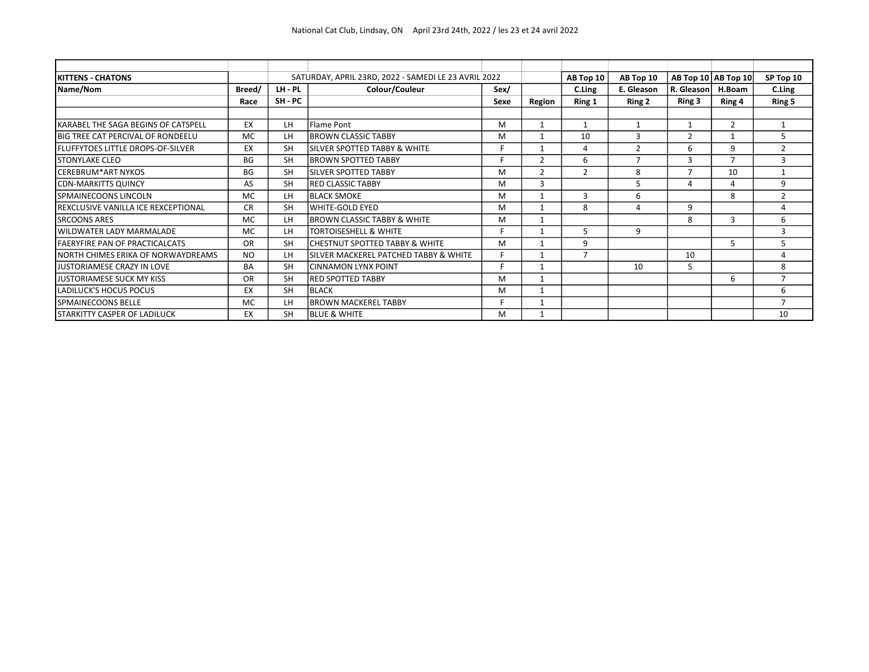| <b>KITTENS - CHATONS</b>                 |           |           | SATURDAY, APRIL 23RD, 2022 - SAMEDI LE 23 AVRIL 2022 |      |                | AB Top 10      | AB Top 10      |                           | AB Top 10   AB Top 10 | SP Top 10      |
|------------------------------------------|-----------|-----------|------------------------------------------------------|------|----------------|----------------|----------------|---------------------------|-----------------------|----------------|
| Name/Nom                                 | Breed/    | LH - PL   | Colour/Couleur                                       | Sex/ |                | C.Ling         | E. Gleason     | R. Gleason                | H.Boam                | C.Ling         |
|                                          | Race      | SH - PC   |                                                      | Sexe | Region         | Ring 1         | Ring 2         | Ring 3                    | Ring 4                | Ring 5         |
|                                          |           |           |                                                      |      |                |                |                |                           |                       |                |
| KARABEL THE SAGA BEGINS OF CATSPELL      | EX        | LН        | lFlame Pont                                          | м    |                | 1              | $\mathbf{1}$   | $\mathbf{1}$              | $\overline{2}$        | 1              |
| <b>BIG TREE CAT PERCIVAL OF RONDEELU</b> | <b>MC</b> | LН        | <b>BROWN CLASSIC TABBY</b>                           | M    |                | 10             | 3              | $\mathcal{P}$             |                       | 5              |
| <b>FLUFFYTOES LITTLE DROPS-OF-SILVER</b> | EX        | <b>SH</b> | ISILVER SPOTTED TABBY & WHITE                        | F    |                | 4              | $\overline{2}$ | 6                         | q                     | $\overline{2}$ |
| <b>STONYLAKE CLEO</b>                    | <b>BG</b> | <b>SH</b> | <b>IBROWN SPOTTED TABBY</b>                          | F    | $\overline{2}$ | 6              | $\overline{7}$ | 3                         |                       | 3              |
| <b>ICEREBRUM*ART NYKOS</b>               | <b>BG</b> | <b>SH</b> | ISILVER SPOTTED TABBY                                | м    | $\overline{2}$ | 2              | 8              | 7                         | 10                    | $\mathbf{1}$   |
| <b>CDN-MARKITTS QUINCY</b>               | AS        | <b>SH</b> | <b>RED CLASSIC TABBY</b>                             | м    | 3              |                | 5              | $\boldsymbol{\varLambda}$ | Δ                     | 9              |
| SPMAINECOONS LINCOLN                     | <b>MC</b> | LН        | <b>BLACK SMOKE</b>                                   | M    |                | 3              | 6              |                           | 8                     | $\overline{2}$ |
| REXCLUSIVE VANILLA ICE REXCEPTIONAL      | <b>CR</b> | <b>SH</b> | lwhite-GOLD EYED                                     | м    |                | 8              | 4              | 9                         |                       | 4              |
| <b>SRCOONS ARES</b>                      | <b>MC</b> | LН        | <b>IBROWN CLASSIC TABBY &amp; WHITE</b>              | M    |                |                |                | 8                         | 3                     | 6              |
| <b>WILDWATER LADY MARMALADE</b>          | <b>MC</b> | LН        | <b>TORTOISESHELL &amp; WHITE</b>                     | F    |                | 5              | 9              |                           |                       | 3              |
| <b>FAERYFIRE PAN OF PRACTICALCATS</b>    | <b>OR</b> | <b>SH</b> | ICHESTNUT SPOTTED TABBY & WHITE                      | M    |                | 9              |                |                           | 5.                    | 5              |
| NORTH CHIMES ERIKA OF NORWAYDREAMS       | <b>NO</b> | LН        | ISILVER MACKEREL PATCHED TABBY & WHITE               | F    |                | $\overline{7}$ |                | 10                        |                       | 4              |
| JUSTORIAMESE CRAZY IN LOVE               | <b>BA</b> | <b>SH</b> | İCINNAMON LYNX POINT                                 | F    |                |                | 10             | 5                         |                       | 8              |
| JUSTORIAMESE SUCK MY KISS                | <b>OR</b> | <b>SH</b> | IRED SPOTTED TABBY                                   | M    |                |                |                |                           | 6                     | $\overline{ }$ |
| LADILUCK'S HOCUS POCUS                   | EX        | <b>SH</b> | BLACK                                                | M    |                |                |                |                           |                       | 6              |
| SPMAINECOONS BELLE                       | <b>MC</b> | LН        | IBROWN MACKEREL TABBY                                | F    |                |                |                |                           |                       | $\overline{ }$ |
| <b>STARKITTY CASPER OF LADILUCK</b>      | EX        | <b>SH</b> | <b>BLUE &amp; WHITE</b>                              | м    |                |                |                |                           |                       | 10             |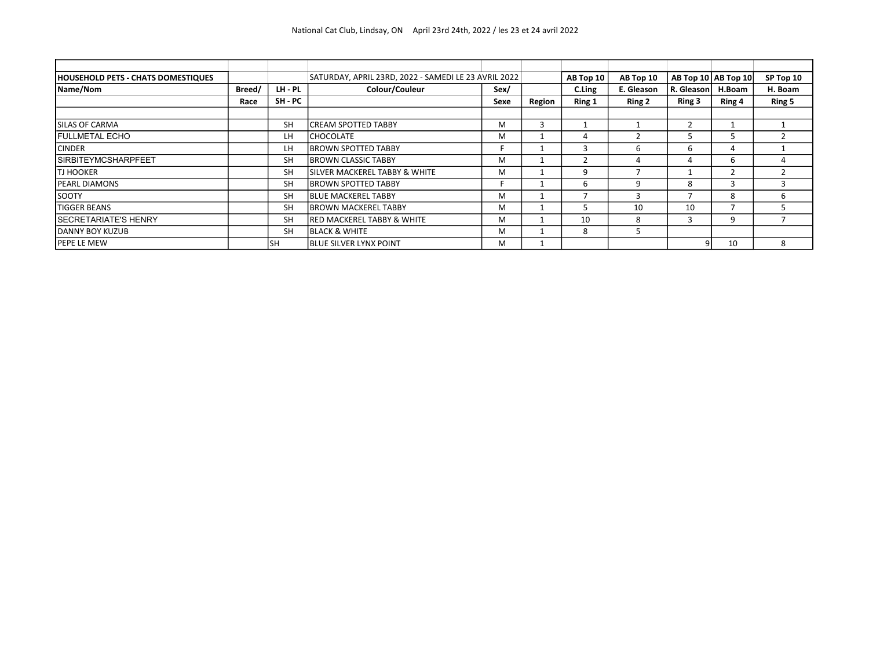| <b>HOUSEHOLD PETS - CHATS DOMESTIQUES</b> |        |           | SATURDAY, APRIL 23RD, 2022 - SAMEDI LE 23 AVRIL 2022 |      |        | AB Top 10 | AB Top 10  |              | AB Top $10$ AB Top $10$ | SP Top 10 |
|-------------------------------------------|--------|-----------|------------------------------------------------------|------|--------|-----------|------------|--------------|-------------------------|-----------|
| Name/Nom                                  | Breed/ | LH - PL   | Colour/Couleur                                       | Sex/ |        | C.Ling    | E. Gleason | R. Gleason   | H.Boam                  | H. Boam   |
|                                           | Race   | SH - PC   |                                                      | Sexe | Region | Ring 1    | Ring 2     | Ring 3       | Ring 4                  | Ring 5    |
|                                           |        |           |                                                      |      |        |           |            |              |                         |           |
| SILAS OF CARMA                            |        | <b>SH</b> | <b>ICREAM SPOTTED TABBY</b>                          | м    | э      |           |            |              |                         |           |
| <b>FULLMETAL ECHO</b>                     |        | LH        | <b>ICHOCOLATE</b>                                    | M    |        | 4         |            | h            |                         |           |
| <b>CINDER</b>                             |        | LH        | <b>IBROWN SPOTTED TABBY</b>                          |      |        |           | h          | 6            | 4                       |           |
| <b>SIRBITEYMCSHARPFEET</b>                |        | <b>SH</b> | <b>IBROWN CLASSIC TABBY</b>                          | M    |        |           | 4          |              | 6                       |           |
| <b>TJ HOOKER</b>                          |        | <b>SH</b> | <b>ISILVER MACKEREL TABBY &amp; WHITE</b>            | м    |        | q         |            |              |                         |           |
| <b>PEARL DIAMONS</b>                      |        | <b>SH</b> | <b>IBROWN SPOTTED TABBY</b>                          |      |        | 6         | q          | 8            |                         |           |
| SOOTY                                     |        | <b>SH</b> | <b>IBLUE MACKEREL TABBY</b>                          | M    |        |           | 3          |              | 8                       | h         |
| <b>TIGGER BEANS</b>                       |        | <b>SH</b> | <b>BROWN MACKEREL TABBY</b>                          | м    |        |           | 10         | 10           |                         |           |
| <b>I</b> SECRETARIATE'S HENRY             |        | <b>SH</b> | <b>IRED MACKEREL TABBY &amp; WHITE</b>               | м    |        | 10        | 8          | $\mathbf{3}$ | 9                       |           |
| DANNY BOY KUZUB                           |        | <b>SH</b> | <b>IBLACK &amp; WHITE</b>                            | м    |        | 8         |            |              |                         |           |
| PEPE LE MEW                               |        | lsh       | <b>IBLUE SILVER LYNX POINT</b>                       | м    |        |           |            | 9            | 10                      | 8         |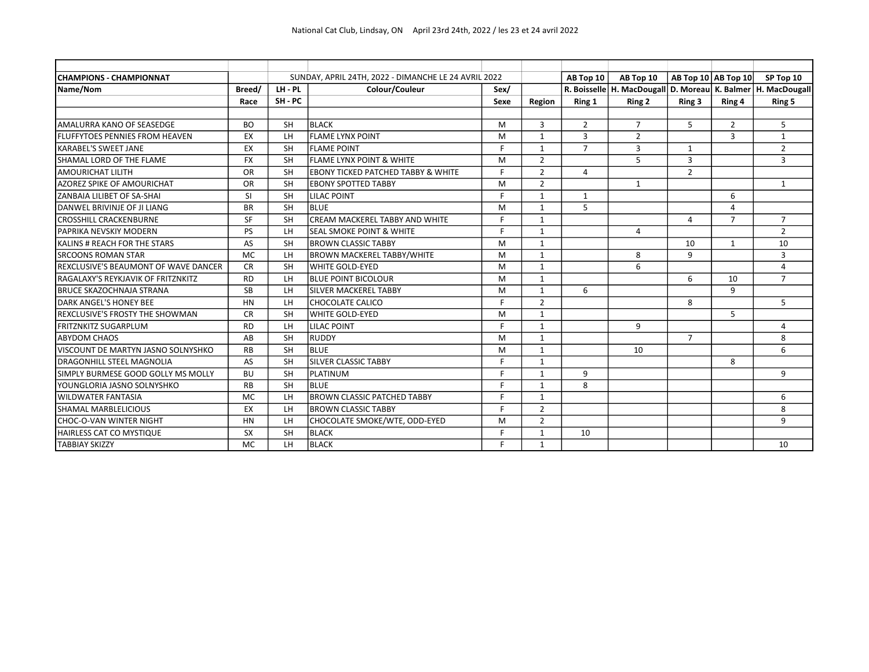| <b>CHAMPIONS - CHAMPIONNAT</b>         |           |                | SUNDAY, APRIL 24TH, 2022 - DIMANCHE LE 24 AVRIL 2022 |      |                | AB Top 10      | AB Top 10      | AB Top 10   AB Top 10 |                | SP Top 10                                                            |
|----------------------------------------|-----------|----------------|------------------------------------------------------|------|----------------|----------------|----------------|-----------------------|----------------|----------------------------------------------------------------------|
| Name/Nom                               | Breed/    | LH-PL          | Colour/Couleur                                       | Sex/ |                |                |                |                       |                | R. Boisselle   H. MacDougall   D. Moreau   K. Balmer   H. MacDougall |
|                                        | Race      | SH-PC          |                                                      | Sexe | Region         | Ring 1         | Ring 2         | Ring 3                | Ring 4         | Ring 5                                                               |
|                                        |           |                |                                                      |      |                |                |                |                       |                |                                                                      |
| AMALURRA KANO OF SEASEDGE              | <b>BO</b> | <b>SH</b>      | <b>BLACK</b>                                         | M    | 3              | $\overline{2}$ | $\overline{7}$ | 5                     | $\overline{2}$ | 5                                                                    |
| <b>FLUFFYTOES PENNIES FROM HEAVEN</b>  | EX        | LH             | <b>FLAME LYNX POINT</b>                              | M    | $\mathbf{1}$   | 3              | $\overline{2}$ |                       | 3              | $\mathbf{1}$                                                         |
| <b>KARABEL'S SWEET JANE</b>            | EX        | <b>SH</b>      | FLAME POINT                                          | F.   | $\mathbf{1}$   | $\overline{7}$ | 3              | $\mathbf{1}$          |                | $\overline{2}$                                                       |
| SHAMAL LORD OF THE FLAME               | <b>FX</b> | <b>SH</b>      | <b>FLAME LYNX POINT &amp; WHITE</b>                  | M    | $\overline{2}$ |                | 5              | 3                     |                | 3                                                                    |
| <b>AMOURICHAT LILITH</b>               | <b>OR</b> | <b>SH</b>      | <b>EBONY TICKED PATCHED TABBY &amp; WHITE</b>        | F    | $\overline{2}$ | 4              |                | $\overline{2}$        |                |                                                                      |
| AZOREZ SPIKE OF AMOURICHAT             | <b>OR</b> | <b>SH</b>      | <b>EBONY SPOTTED TABBY</b>                           | M    | $\overline{2}$ |                | 1              |                       |                | 1                                                                    |
| ZANBAIA LILIBET OF SA-SHAI             | SI        | <b>SH</b>      | <b>LILAC POINT</b>                                   | F    | $\mathbf{1}$   | $\mathbf{1}$   |                |                       | 6              |                                                                      |
| DANWEL BRIVINJE OF JI LIANG            | <b>BR</b> | <b>SH</b>      | Iblue                                                | M    | $\mathbf{1}$   | 5              |                |                       | 4              |                                                                      |
| <b>CROSSHILL CRACKENBURNE</b>          | SF        | <b>SH</b>      | CREAM MACKEREL TABBY AND WHITE                       | F    | 1              |                |                | 4                     | $\overline{7}$ | $\overline{7}$                                                       |
| PAPRIKA NEVSKIY MODERN                 | PS        | LH             | lseal smoke point & white                            | F.   | $\mathbf{1}$   |                | 4              |                       |                | $\overline{2}$                                                       |
| KALINS # REACH FOR THE STARS           | AS        | <b>SH</b>      | BROWN CLASSIC TABBY                                  | M    | 1              |                |                | 10                    | $\mathbf{1}$   | 10                                                                   |
| <b>SRCOONS ROMAN STAR</b>              | <b>MC</b> | LH             | <b>BROWN MACKEREL TABBY/WHITE</b>                    | M    | $\mathbf{1}$   |                | 8              | 9                     |                | 3                                                                    |
| REXCLUSIVE'S BEAUMONT OF WAVE DANCER   | <b>CR</b> | <b>SH</b>      | lwhite GOLD-EYED                                     | M    | $\mathbf{1}$   |                | 6              |                       |                | 4                                                                    |
| RAGALAXY'S REYKJAVIK OF FRITZNKITZ     | <b>RD</b> | LH             | <b>BLUE POINT BICOLOUR</b>                           | M    | $\mathbf{1}$   |                |                | 6                     | 10             | $\overline{7}$                                                       |
| <b>BRUCE SKAZOCHNAJA STRANA</b>        | SB        | LH             | SILVER MACKEREL TABBY                                | M    | $\mathbf{1}$   | 6              |                |                       | 9              |                                                                      |
| DARK ANGEL'S HONEY BEE                 | <b>HN</b> | LH             | lchocolate calico                                    | c    | $\overline{2}$ |                |                | 8                     |                | 5                                                                    |
| <b>REXCLUSIVE'S FROSTY THE SHOWMAN</b> | <b>CR</b> | <b>SH</b>      | lwhite GOLD-EYED                                     | M    | $\mathbf{1}$   |                |                |                       | 5              |                                                                      |
| <b>FRITZNKITZ SUGARPLUM</b>            | <b>RD</b> | LH             | <b>LILAC POINT</b>                                   | F    | $\mathbf{1}$   |                | 9              |                       |                | 4                                                                    |
| <b>ABYDOM CHAOS</b>                    | AB        | <b>SH</b>      | Iruddy                                               | M    | $\mathbf{1}$   |                |                | $\overline{7}$        |                | 8                                                                    |
| VISCOUNT DE MARTYN JASNO SOLNYSHKO     | <b>RB</b> | <b>SH</b>      | Iblue                                                | M    | $\mathbf{1}$   |                | 10             |                       |                | 6                                                                    |
| <b>DRAGONHILL STEEL MAGNOLIA</b>       | AS        | <b>SH</b>      | ISILVER CLASSIC TABBY                                | E    | $\mathbf{1}$   |                |                |                       | 8              |                                                                      |
| SIMPLY BURMESE GOOD GOLLY MS MOLLY     | <b>BU</b> | <b>SH</b>      | Iplatinum                                            | F.   | $\overline{1}$ | 9              |                |                       |                | 9                                                                    |
| YOUNGLORIA JASNO SOLNYSHKO             | <b>RB</b> | <b>SH</b>      | Iblue                                                | F    | $\mathbf{1}$   | 8              |                |                       |                |                                                                      |
| <b>WILDWATER FANTASIA</b>              | <b>MC</b> | LH             | BROWN CLASSIC PATCHED TABBY                          | F.   | $\mathbf{1}$   |                |                |                       |                | 6                                                                    |
| SHAMAL MARBLELICIOUS                   | EX        | LH <sub></sub> | BROWN CLASSIC TABBY                                  | F    | $\overline{2}$ |                |                |                       |                | 8                                                                    |
| CHOC-O-VAN WINTER NIGHT                | <b>HN</b> | LH             | CHOCOLATE SMOKE/WTE, ODD-EYED                        | M    | $\overline{2}$ |                |                |                       |                | 9                                                                    |
| HAIRLESS CAT CO MYSTIQUE               | <b>SX</b> | <b>SH</b>      | IBLACK                                               | F    | $\mathbf{1}$   | 10             |                |                       |                |                                                                      |
| <b>TABBIAY SKIZZY</b>                  | <b>MC</b> | LH             | BLACK                                                | E    | $\mathbf{1}$   |                |                |                       |                | 10                                                                   |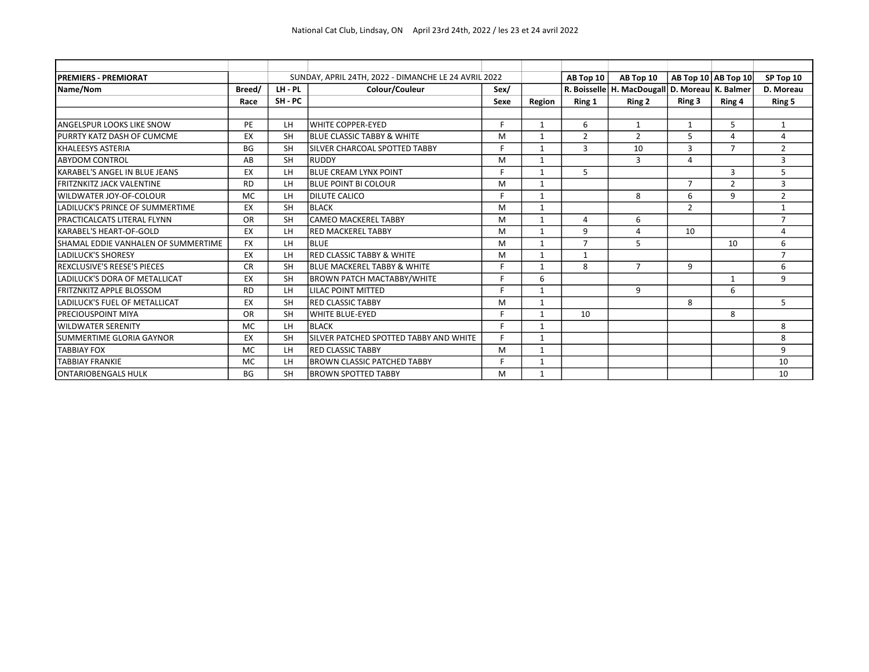| <b>PREMIERS - PREMIORAT</b>         |           |           | SUNDAY, APRIL 24TH, 2022 - DIMANCHE LE 24 AVRIL 2022 |      |              | AB Top 10      | AB Top 10                                            |                | AB Top $10$ AB Top $10$ | SP Top 10      |
|-------------------------------------|-----------|-----------|------------------------------------------------------|------|--------------|----------------|------------------------------------------------------|----------------|-------------------------|----------------|
| Name/Nom                            | Breed/    | LH-PL     | Colour/Couleur                                       | Sex/ |              |                | R. Boisselle   H. MacDougall   D. Moreau   K. Balmer |                |                         | D. Moreau      |
|                                     | Race      | SH-PC     |                                                      | Sexe | Region       | Ring 1         | Ring 2                                               | Ring 3         | Ring 4                  | Ring 5         |
|                                     |           |           |                                                      |      |              |                |                                                      |                |                         |                |
| ANGELSPUR LOOKS LIKE SNOW           | PE        | LH        | lwhite copper-eyed                                   | F.   | $\mathbf{1}$ | 6              | $\mathbf{1}$                                         | $\mathbf{1}$   | 5                       | 1              |
| PURRTY KATZ DASH OF CUMCME          | EX        | <b>SH</b> | <b>IBLUE CLASSIC TABBY &amp; WHITE</b>               | M    | $\mathbf{1}$ | $\overline{2}$ | $\overline{2}$                                       | 5              | 4                       | 4              |
| KHALEESYS ASTERIA                   | <b>BG</b> | <b>SH</b> | SILVER CHARCOAL SPOTTED TABBY                        | F    | 1            | 3              | 10                                                   | 3              | $\overline{7}$          | $\overline{2}$ |
| <b>ABYDOM CONTROL</b>               | AB        | <b>SH</b> | RUDDY                                                | M    | 1            |                | 3                                                    | 4              |                         | 3              |
| KARABEL'S ANGEL IN BLUE JEANS       | EX        | LH.       | BLUE CREAM LYNX POINT                                | F    | 1            | 5              |                                                      |                | 3                       | 5              |
| <b>FRITZNKITZ JACK VALENTINE</b>    | <b>RD</b> | LH        | <b>BLUE POINT BI COLOUR</b>                          | M    | $\mathbf{1}$ |                |                                                      | $\overline{7}$ | $\mathcal{D}$           | 3              |
| WILDWATER JOY-OF-COLOUR             | <b>MC</b> | LH.       | <b>DILUTE CALICO</b>                                 | F    | 1            |                | 8                                                    | 6              | 9                       | $\overline{2}$ |
| LADILUCK'S PRINCE OF SUMMERTIME     | EX        | <b>SH</b> | IBLACK                                               | M    | $\mathbf{1}$ |                |                                                      | 2              |                         | $\mathbf{1}$   |
| <b>PRACTICALCATS LITERAL FLYNN</b>  | OR        | <b>SH</b> | lcameo mackerel Tabby                                | M    | 1            | 4              | 6                                                    |                |                         | $\overline{7}$ |
| KARABEL'S HEART-OF-GOLD             | EX        | LH.       | IRED MACKEREL TABBY                                  | M    | $\mathbf{1}$ | 9              | 4                                                    | 10             |                         | 4              |
| SHAMAL EDDIE VANHALEN OF SUMMERTIME | <b>FX</b> | LH.       | Iblue                                                | M    | $\mathbf{1}$ | $\overline{7}$ | 5                                                    |                | 10                      | 6              |
| <b>LADILUCK'S SHORESY</b>           | EX        | LH.       | RED CLASSIC TABBY & WHITE                            | M    | $\mathbf{1}$ | $\mathbf{1}$   |                                                      |                |                         | $\overline{7}$ |
| <b>REXCLUSIVE'S REESE'S PIECES</b>  | <b>CR</b> | <b>SH</b> | IBLUE MACKEREL TABBY & WHITE                         | F    | 1            | 8              | $\overline{7}$                                       | 9              |                         | 6              |
| LADILUCK'S DORA OF METALLICAT       | EX        | <b>SH</b> | <b>BROWN PATCH MACTABBY/WHITE</b>                    | F    | 6            |                |                                                      |                | $\mathbf{1}$            | 9              |
| <b>FRITZNKITZ APPLE BLOSSOM</b>     | <b>RD</b> | LH.       | LILAC POINT MITTED                                   | E.   | $\mathbf{1}$ |                | 9                                                    |                | 6                       |                |
| LADILUCK'S FUEL OF METALLICAT       | EX        | <b>SH</b> | <b>IRED CLASSIC TABBY</b>                            | M    | $\mathbf{1}$ |                |                                                      | 8              |                         | 5              |
| <b>PRECIOUSPOINT MIYA</b>           | OR        | <b>SH</b> | WHITE BLUE-EYED                                      | Е    | 1            | 10             |                                                      |                | 8                       |                |
| <b>WILDWATER SERENITY</b>           | <b>MC</b> | LH.       | IBLACK                                               | F    | 1            |                |                                                      |                |                         | 8              |
| SUMMERTIME GLORIA GAYNOR            | EX        | <b>SH</b> | ISILVER PATCHED SPOTTED TABBY AND WHITE              | F    | 1            |                |                                                      |                |                         | 8              |
| <b>TABBIAY FOX</b>                  | <b>MC</b> | LH.       | <b>IRED CLASSIC TABBY</b>                            | M    | $\mathbf{1}$ |                |                                                      |                |                         | 9              |
| <b>TABBIAY FRANKIE</b>              | <b>MC</b> | LH.       | BROWN CLASSIC PATCHED TABBY                          | Е    | 1            |                |                                                      |                |                         | 10             |
| <b>ONTARIOBENGALS HULK</b>          | <b>BG</b> | <b>SH</b> | BROWN SPOTTED TABBY                                  | M    | $\mathbf{1}$ |                |                                                      |                |                         | 10             |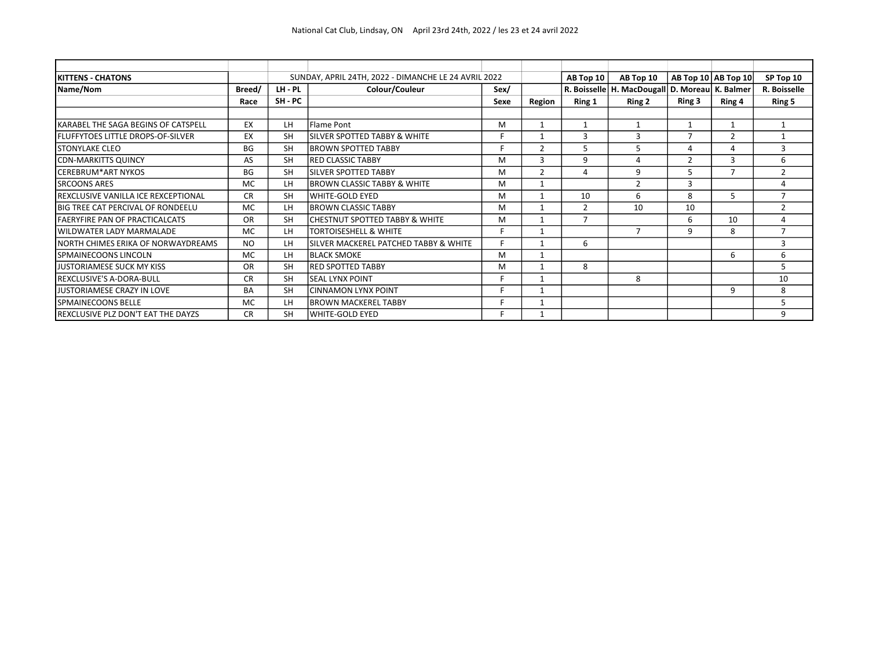| <b>IKITTENS - CHATONS</b>                  |           |           | SUNDAY, APRIL 24TH, 2022 - DIMANCHE LE 24 AVRIL 2022 | AB Top 10 | AB Top 10      |                | AB Top 10   AB Top 10                                | SP Top 10      |        |                |
|--------------------------------------------|-----------|-----------|------------------------------------------------------|-----------|----------------|----------------|------------------------------------------------------|----------------|--------|----------------|
| Name/Nom                                   | Breed/    | LH - PL   | Colour/Couleur                                       | Sex/      |                |                | R. Boisselle   H. MacDougall   D. Moreau   K. Balmer |                |        | R. Boisselle   |
|                                            | Race      | SH - PC   |                                                      | Sexe      | Region         | Ring 1         | Ring 2                                               | Ring 3         | Ring 4 | Ring 5         |
|                                            |           |           |                                                      |           |                |                |                                                      |                |        |                |
| KARABEL THE SAGA BEGINS OF CATSPELL        | EX        | LН        | lFlame Pont                                          | м         | 1              | $\mathbf{1}$   | $\mathbf{1}$                                         | $\mathbf{1}$   |        | 1              |
| <b>FLUFFYTOES LITTLE DROPS-OF-SILVER</b>   | EX        | <b>SH</b> | SILVER SPOTTED TABBY & WHITE                         | F         |                | 3              | 3                                                    | 7              |        | $\mathbf{1}$   |
| <b>STONYLAKE CLEO</b>                      | BG        | <b>SH</b> | <b>BROWN SPOTTED TABBY</b>                           | E         | $\overline{2}$ | 5              | 5                                                    | $\Delta$       |        | $\overline{3}$ |
| <b>CDN-MARKITTS QUINCY</b>                 | AS        | <b>SH</b> | <b>IRED CLASSIC TABBY</b>                            | M         | 3              | 9              | 4                                                    | $\overline{2}$ | 3      | 6              |
| <b>ICEREBRUM*ART NYKOS</b>                 | BG        | <b>SH</b> | ISILVER SPOTTED TABBY                                | м         | $\overline{2}$ | 4              | 9                                                    | 5              |        | 2              |
| <b>SRCOONS ARES</b>                        | <b>MC</b> | LH        | <b>BROWN CLASSIC TABBY &amp; WHITE</b>               | м         |                |                | $\overline{2}$                                       | 3              |        | 4              |
| <b>REXCLUSIVE VANILLA ICE REXCEPTIONAL</b> | <b>CR</b> | <b>SH</b> | lwhite-GOLD EYED                                     | M         |                | 10             | 6                                                    | 8              | 5      | $\overline{7}$ |
| <b>BIG TREE CAT PERCIVAL OF RONDEELU</b>   | <b>MC</b> | LH        | <b>BROWN CLASSIC TABBY</b>                           | M         |                | $\overline{2}$ | 10                                                   | 10             |        | 2              |
| <b>FAERYFIRE PAN OF PRACTICALCATS</b>      | <b>OR</b> | <b>SH</b> | ICHESTNUT SPOTTED TABBY & WHITE                      | м         |                | $\overline{7}$ |                                                      | 6              | 10     | 4              |
| WILDWATER LADY MARMALADE                   | <b>MC</b> | LH.       | <b>TORTOISESHELL &amp; WHITE</b>                     | E         |                |                | $\overline{7}$                                       | 9              | 8      | $\overline{ }$ |
| NORTH CHIMES ERIKA OF NORWAYDREAMS         | <b>NO</b> | LH        | SILVER MACKEREL PATCHED TABBY & WHITE                | E         |                | 6              |                                                      |                |        | 3              |
| <b>SPMAINECOONS LINCOLN</b>                | <b>MC</b> | LH.       | <b>BLACK SMOKE</b>                                   | M         | $\mathbf{1}$   |                |                                                      |                | 6      | 6              |
| <b>JUSTORIAMESE SUCK MY KISS</b>           | <b>OR</b> | <b>SH</b> | <b>IRED SPOTTED TABBY</b>                            | M         |                | 8              |                                                      |                |        | 5              |
| <b>REXCLUSIVE'S A-DORA-BULL</b>            | <b>CR</b> | <b>SH</b> | lseal Lynx POINT                                     | E         |                |                | 8                                                    |                |        | 10             |
| JUSTORIAMESE CRAZY IN LOVE                 | <b>BA</b> | <b>SH</b> | İCINNAMON LYNX POINT                                 | E         | 1              |                |                                                      |                | 9      | 8              |
| <b>SPMAINECOONS BELLE</b>                  | <b>MC</b> | LН        | <b>BROWN MACKEREL TABBY</b>                          | F         |                |                |                                                      |                |        | 5              |
| <b>REXCLUSIVE PLZ DON'T EAT THE DAYZS</b>  | <b>CR</b> | <b>SH</b> | lwhite-gold eyed                                     | F         |                |                |                                                      |                |        | 9              |